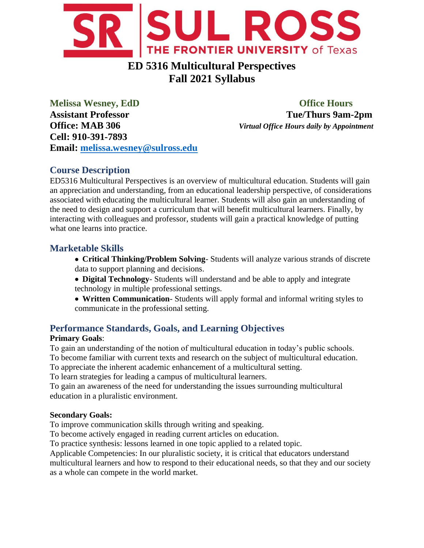

# **ED 5316 Multicultural Perspectives Fall 2021 Syllabus**

**Melissa Wesney, EdD Office Hours Assistant Professor Tue/Thurs 9am-2pm Office: MAB 306** *Virtual Office Hours daily by Appointment* **Cell: 910-391-7893 Email: [melissa.wesney@sulross.edu](mailto:melissa.wesney@sulross.edu)**

## **Course Description**

ED5316 Multicultural Perspectives is an overview of multicultural education. Students will gain an appreciation and understanding, from an educational leadership perspective, of considerations associated with educating the multicultural learner. Students will also gain an understanding of the need to design and support a curriculum that will benefit multicultural learners. Finally, by interacting with colleagues and professor, students will gain a practical knowledge of putting what one learns into practice.

## **Marketable Skills**

- **Critical Thinking/Problem Solving** Students will analyze various strands of discrete data to support planning and decisions.
- **Digital Technology** Students will understand and be able to apply and integrate technology in multiple professional settings.
- **Written Communication** Students will apply formal and informal writing styles to communicate in the professional setting.

## **Performance Standards, Goals, and Learning Objectives**

### **Primary Goals**:

To gain an understanding of the notion of multicultural education in today's public schools.

To become familiar with current texts and research on the subject of multicultural education.

To appreciate the inherent academic enhancement of a multicultural setting.

To learn strategies for leading a campus of multicultural learners.

To gain an awareness of the need for understanding the issues surrounding multicultural education in a pluralistic environment.

#### **Secondary Goals:**

To improve communication skills through writing and speaking.

To become actively engaged in reading current articles on education.

To practice synthesis: lessons learned in one topic applied to a related topic.

Applicable Competencies: In our pluralistic society, it is critical that educators understand multicultural learners and how to respond to their educational needs, so that they and our society

as a whole can compete in the world market.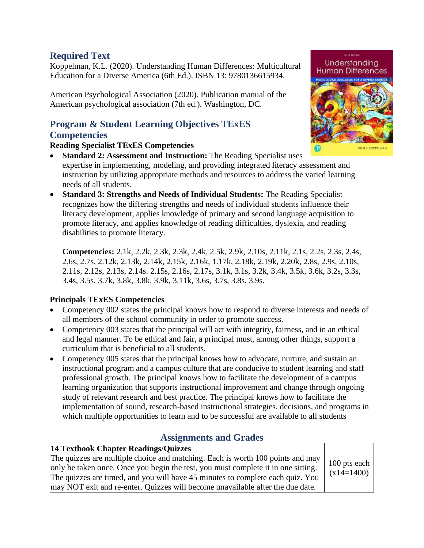## **Required Text**

Koppelman, K.L. (2020). Understanding Human Differences: Multicultural Education for a Diverse America (6th Ed.). ISBN 13: 9780136615934.

American Psychological Association (2020). Publication manual of the American psychological association (7th ed.). Washington, DC.

### **Program & Student Learning Objectives TExES Competencies**

#### **Reading Specialist TExES Competencies**

- **Standard 2: Assessment and Instruction:** The Reading Specialist uses expertise in implementing, modeling, and providing integrated literacy assessment and instruction by utilizing appropriate methods and resources to address the varied learning needs of all students.
- **Standard 3: Strengths and Needs of Individual Students:** The Reading Specialist recognizes how the differing strengths and needs of individual students influence their literacy development, applies knowledge of primary and second language acquisition to promote literacy, and applies knowledge of reading difficulties, dyslexia, and reading disabilities to promote literacy.

**Competencies:** 2.1k, 2.2k, 2.3k, 2.3k, 2.4k, 2.5k, 2.9k, 2.10s, 2.11k, 2.1s, 2.2s, 2.3s, 2.4s, 2.6s, 2.7s, 2.12k, 2.13k, 2.14k, 2.15k, 2.16k, 1.17k, 2.18k, 2.19k, 2.20k, 2.8s, 2.9s, 2.10s, 2.11s, 2.12s, 2.13s, 2.14s. 2.15s, 2.16s, 2.17s, 3.1k, 3.1s, 3.2k, 3.4k, 3.5k, 3.6k, 3.2s, 3.3s, 3.4s, 3.5s, 3.7k, 3.8k, 3.8k, 3.9k, 3.11k, 3.6s, 3.7s, 3.8s, 3.9s.

### **Principals TExES Competencies**

- Competency 002 states the principal knows how to respond to diverse interests and needs of all members of the school community in order to promote success.
- Competency 003 states that the principal will act with integrity, fairness, and in an ethical and legal manner. To be ethical and fair, a principal must, among other things, support a curriculum that is beneficial to all students.
- Competency 005 states that the principal knows how to advocate, nurture, and sustain an instructional program and a campus culture that are conducive to student learning and staff professional growth. The principal knows how to facilitate the development of a campus learning organization that supports instructional improvement and change through ongoing study of relevant research and best practice. The principal knows how to facilitate the implementation of sound, research-based instructional strategies, decisions, and programs in which multiple opportunities to learn and to be successful are available to all students

## **Assignments and Grades**

#### **14 Textbook Chapter Readings/Quizzes**  The quizzes are multiple choice and matching. Each is worth 100 points and may

only be taken once. Once you begin the test, you must complete it in one sitting. The quizzes are timed, and you will have 45 minutes to complete each quiz. You may NOT exit and re-enter. Quizzes will become unavailable after the due date.

100 pts each  $(x14=1400)$ 

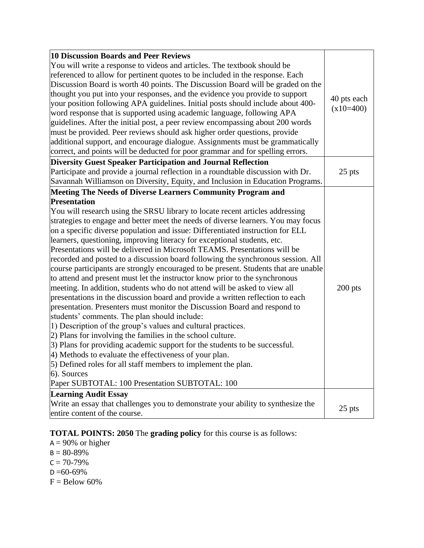| 10 Discussion Boards and Peer Reviews<br>You will write a response to videos and articles. The textbook should be<br>referenced to allow for pertinent quotes to be included in the response. Each<br>Discussion Board is worth 40 points. The Discussion Board will be graded on the<br>thought you put into your responses, and the evidence you provide to support<br>your position following APA guidelines. Initial posts should include about 400-<br>word response that is supported using academic language, following APA<br>guidelines. After the initial post, a peer review encompassing about 200 words<br>must be provided. Peer reviews should ask higher order questions, provide<br>additional support, and encourage dialogue. Assignments must be grammatically<br>correct, and points will be deducted for poor grammar and for spelling errors.                                                                                                                                                                                                                                                                                                                                                                                                                                                                                                                                                                                                | 40 pts each<br>$(x10=400)$ |
|---------------------------------------------------------------------------------------------------------------------------------------------------------------------------------------------------------------------------------------------------------------------------------------------------------------------------------------------------------------------------------------------------------------------------------------------------------------------------------------------------------------------------------------------------------------------------------------------------------------------------------------------------------------------------------------------------------------------------------------------------------------------------------------------------------------------------------------------------------------------------------------------------------------------------------------------------------------------------------------------------------------------------------------------------------------------------------------------------------------------------------------------------------------------------------------------------------------------------------------------------------------------------------------------------------------------------------------------------------------------------------------------------------------------------------------------------------------------|----------------------------|
| <b>Diversity Guest Speaker Participation and Journal Reflection</b><br>Participate and provide a journal reflection in a roundtable discussion with Dr.<br>Savannah Williamson on Diversity, Equity, and Inclusion in Education Programs.                                                                                                                                                                                                                                                                                                                                                                                                                                                                                                                                                                                                                                                                                                                                                                                                                                                                                                                                                                                                                                                                                                                                                                                                                           | 25 pts                     |
| Meeting The Needs of Diverse Learners Community Program and<br><b>Presentation</b><br>You will research using the SRSU library to locate recent articles addressing<br>strategies to engage and better meet the needs of diverse learners. You may focus<br>on a specific diverse population and issue: Differentiated instruction for ELL<br>learners, questioning, improving literacy for exceptional students, etc.<br>Presentations will be delivered in Microsoft TEAMS. Presentations will be<br>recorded and posted to a discussion board following the synchronous session. All<br>course participants are strongly encouraged to be present. Students that are unable<br>to attend and present must let the instructor know prior to the synchronous<br>meeting. In addition, students who do not attend will be asked to view all<br>presentations in the discussion board and provide a written reflection to each<br>presentation. Presenters must monitor the Discussion Board and respond to<br>students' comments. The plan should include:<br>1) Description of the group's values and cultural practices.<br>(2) Plans for involving the families in the school culture.<br>3) Plans for providing academic support for the students to be successful.<br>4) Methods to evaluate the effectiveness of your plan.<br>5) Defined roles for all staff members to implement the plan.<br>6). Sources<br>Paper SUBTOTAL: 100 Presentation SUBTOTAL: 100 | $200$ pts                  |
| <b>Learning Audit Essay</b><br>Write an essay that challenges you to demonstrate your ability to synthesize the<br>entire content of the course.                                                                                                                                                                                                                                                                                                                                                                                                                                                                                                                                                                                                                                                                                                                                                                                                                                                                                                                                                                                                                                                                                                                                                                                                                                                                                                                    | 25 pts                     |

#### **TOTAL POINTS: 2050** The **grading policy** for this course is as follows:

 $A = 90\%$  or higher  $B = 80 - 89%$  $C = 70 - 79%$  $D = 60 - 69\%$  $F =$  Below 60%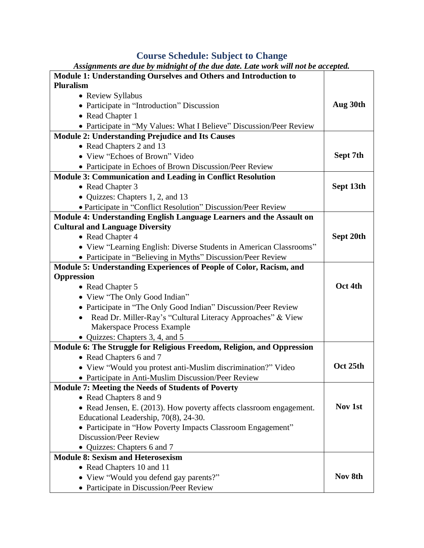### **Course Schedule: Subject to Change**

| Assignments are due by midnight of the due date. Late work will not be accepted. |           |
|----------------------------------------------------------------------------------|-----------|
| Module 1: Understanding Ourselves and Others and Introduction to                 |           |
| <b>Pluralism</b>                                                                 |           |
| • Review Syllabus                                                                |           |
| • Participate in "Introduction" Discussion                                       | Aug 30th  |
| • Read Chapter 1                                                                 |           |
| • Participate in "My Values: What I Believe" Discussion/Peer Review              |           |
| <b>Module 2: Understanding Prejudice and Its Causes</b>                          |           |
| • Read Chapters 2 and 13                                                         |           |
| • View "Echoes of Brown" Video                                                   | Sept 7th  |
| • Participate in Echoes of Brown Discussion/Peer Review                          |           |
| <b>Module 3: Communication and Leading in Conflict Resolution</b>                |           |
| • Read Chapter 3                                                                 | Sept 13th |
| • Quizzes: Chapters 1, 2, and 13                                                 |           |
| • Participate in "Conflict Resolution" Discussion/Peer Review                    |           |
| Module 4: Understanding English Language Learners and the Assault on             |           |
| <b>Cultural and Language Diversity</b>                                           |           |
| • Read Chapter 4                                                                 | Sept 20th |
| • View "Learning English: Diverse Students in American Classrooms"               |           |
| • Participate in "Believing in Myths" Discussion/Peer Review                     |           |
| Module 5: Understanding Experiences of People of Color, Racism, and              |           |
| <b>Oppression</b>                                                                |           |
| • Read Chapter 5                                                                 | Oct 4th   |
| • View "The Only Good Indian"                                                    |           |
| • Participate in "The Only Good Indian" Discussion/Peer Review                   |           |
| Read Dr. Miller-Ray's "Cultural Literacy Approaches" & View<br>$\bullet$         |           |
| Makerspace Process Example                                                       |           |
| • Quizzes: Chapters 3, 4, and 5                                                  |           |
| Module 6: The Struggle for Religious Freedom, Religion, and Oppression           |           |
| • Read Chapters 6 and 7                                                          |           |
| • View "Would you protest anti-Muslim discrimination?" Video                     | Oct 25th  |
| • Participate in Anti-Muslim Discussion/Peer Review                              |           |
| <b>Module 7: Meeting the Needs of Students of Poverty</b>                        |           |
| • Read Chapters 8 and 9                                                          |           |
| • Read Jensen, E. (2013). How poverty affects classroom engagement.              | Nov 1st   |
| Educational Leadership, 70(8), 24-30.                                            |           |
| • Participate in "How Poverty Impacts Classroom Engagement"                      |           |
| <b>Discussion/Peer Review</b>                                                    |           |
| • Quizzes: Chapters 6 and 7                                                      |           |
| <b>Module 8: Sexism and Heterosexism</b>                                         |           |
| • Read Chapters 10 and 11                                                        |           |
| • View "Would you defend gay parents?"                                           | Nov 8th   |
| • Participate in Discussion/Peer Review                                          |           |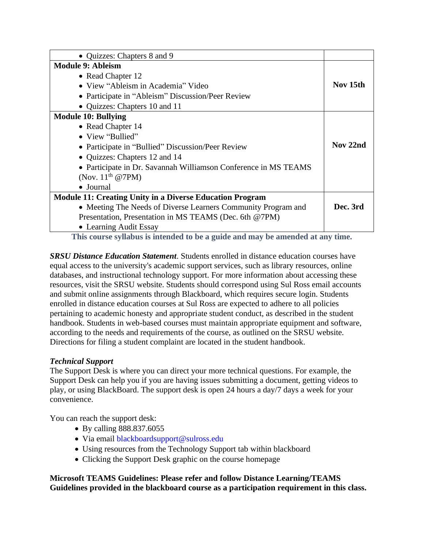| • Quizzes: Chapters 8 and 9                                     |          |
|-----------------------------------------------------------------|----------|
| <b>Module 9: Ableism</b>                                        |          |
| • Read Chapter 12                                               |          |
| • View "Ableism in Academia" Video                              | Nov 15th |
| • Participate in "Ableism" Discussion/Peer Review               |          |
| • Quizzes: Chapters 10 and 11                                   |          |
| <b>Module 10: Bullying</b>                                      |          |
| • Read Chapter 14                                               |          |
| • View "Bullied"                                                |          |
| • Participate in "Bullied" Discussion/Peer Review               | Nov 22nd |
| • Quizzes: Chapters 12 and 14                                   |          |
| • Participate in Dr. Savannah Williamson Conference in MS TEAMS |          |
| (Nov. $11th$ @7PM)                                              |          |
| • Journal                                                       |          |
| <b>Module 11: Creating Unity in a Diverse Education Program</b> |          |
| • Meeting The Needs of Diverse Learners Community Program and   | Dec. 3rd |
| Presentation, Presentation in MS TEAMS (Dec. 6th @7PM)          |          |
| • Learning Audit Essay                                          |          |

**This course syllabus is intended to be a guide and may be amended at any time.**

*SRSU Distance Education Statement*. Students enrolled in distance education courses have equal access to the university's academic support services, such as library resources, online databases, and instructional technology support. For more information about accessing these resources, visit the SRSU website. Students should correspond using Sul Ross email accounts and submit online assignments through Blackboard, which requires secure login. Students enrolled in distance education courses at Sul Ross are expected to adhere to all policies pertaining to academic honesty and appropriate student conduct, as described in the student handbook. Students in web-based courses must maintain appropriate equipment and software, according to the needs and requirements of the course, as outlined on the SRSU website. Directions for filing a student complaint are located in the student handbook.

#### *Technical Support*

The Support Desk is where you can direct your more technical questions. For example, the Support Desk can help you if you are having issues submitting a document, getting videos to play, or using BlackBoard. The support desk is open 24 hours a day/7 days a week for your convenience.

You can reach the support desk:

- By calling 888.837.6055
- Via email blackboardsupport@sulross.edu
- Using resources from the Technology Support tab within blackboard
- Clicking the Support Desk graphic on the course homepage

**Microsoft TEAMS Guidelines: Please refer and follow Distance Learning/TEAMS Guidelines provided in the blackboard course as a participation requirement in this class.**